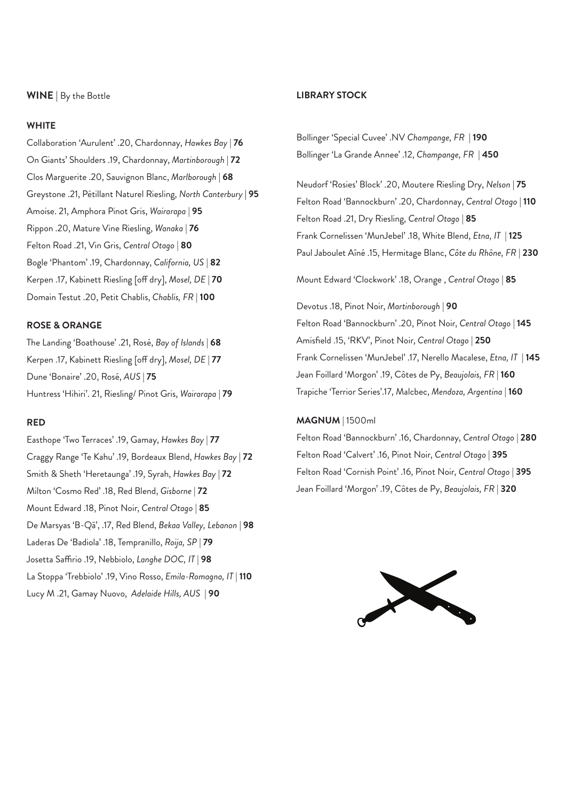#### **WINE** | By the Bottle

#### **WHITE**

Collaboration 'Aurulent' .20, Chardonnay, *Hawkes Bay* | **76** On Giants' Shoulders .19, Chardonnay, *Martinborough* | **72** Clos Marguerite .20, Sauvignon Blanc, *Marlborough* | **68** Greystone .21, Pétillant Naturel Riesling, *North Canterbury* **| 95** Amoise. 21, Amphora Pinot Gris, *Wairarapa* | **95** Rippon .20, Mature Vine Riesling, *Wanaka* | **76**  Felton Road .21, Vin Gris, *Central Otago* | **80** Bogle 'Phantom' .19, Chardonnay, *California, US* | **82** Kerpen .17, Kabinett Riesling [off dry], *Mosel, DE* | **70** Domain Testut .20, Petit Chablis, *Chablis, FR* | **100**

#### **ROSE & ORANGE**

The Landing 'Boathouse' .21, Rosé, *Bay of Islands* | **68** Kerpen .17, Kabinett Riesling [off dry], *Mosel, DE* | **77** Dune 'Bonaire' .20, Rosé, *AUS* | **75** Huntress 'Hihiri'. 21, Riesling/ Pinot Gris, *Wairarapa* | **79**

### **RED**

Easthope 'Two Terraces' .19, Gamay, *Hawkes Bay* | **77** Craggy Range 'Te Kahu' .19, Bordeaux Blend, *Hawkes Bay* | **72** Smith & Sheth 'Heretaunga' .19, Syrah, *Hawkes Bay* | **72** Milton 'Cosmo Red' .18, Red Blend, *Gisborne* | **72** Mount Edward .18, Pinot Noir, *Central Otago* | **85** De Marsyas 'B-Qā', .17, Red Blend, *Bekaa Valley, Lebanon* | **98** Laderas De 'Badiola' .18, Tempranillo, *Roija, SP* | **79** Josetta Saffirio .19, Nebbiolo, *Langhe DOC, IT* | **98** La Stoppa 'Trebbiolo' .19, Vino Rosso, *Emila-Romagna, IT* | **110** Lucy M .21, Gamay Nuovo, *Adelaide Hills, AUS* | **90**

#### **LIBRARY STOCK**

Bollinger 'Special Cuvee' .NV *Champange, FR* | **190** Bollinger 'La Grande Annee' .12, *Champange, FR* | **450**

Neudorf 'Rosies' Block' .20, Moutere Riesling Dry, *Nelson* | **75** Felton Road 'Bannockburn' .20, Chardonnay, *Central Otago* | **110** Felton Road .21, Dry Riesling, *Central Otago* | **85** Frank Cornelissen 'MunJebel' .18, White Blend, *Etna, IT* | **125** Paul Jaboulet Aîné .15, Hermitage Blanc, *Côte du Rhône, FR* | **230**

Mount Edward 'Clockwork' .18, Orange , *Central Otago* | **85**

Devotus .18, Pinot Noir, *Martinborough* | **90** Felton Road 'Bannockburn' .20, Pinot Noir, *Central Otago* | **145** Amisfield .15, 'RKV', Pinot Noir, *Central Otago* | **250** Frank Cornelissen 'MunJebel' .17, Nerello Macalese, *Etna, IT* | **145** Jean Foillard 'Morgon' .19, Côtes de Py, *Beaujolais, FR* | **160** Trapiche 'Terrior Series'.17, Malcbec, *Mendoza, Argentina* | **160**

#### **MAGNUM** | 1500ml

Felton Road 'Bannockburn' .16, Chardonnay, *Central Otago* | **280** Felton Road 'Calvert' .16, Pinot Noir, *Central Otago* | **395** Felton Road 'Cornish Point' .16, Pinot Noir, *Central Otago* | **395** Jean Foillard 'Morgon' .19, Côtes de Py, *Beaujolais, FR* | **320**